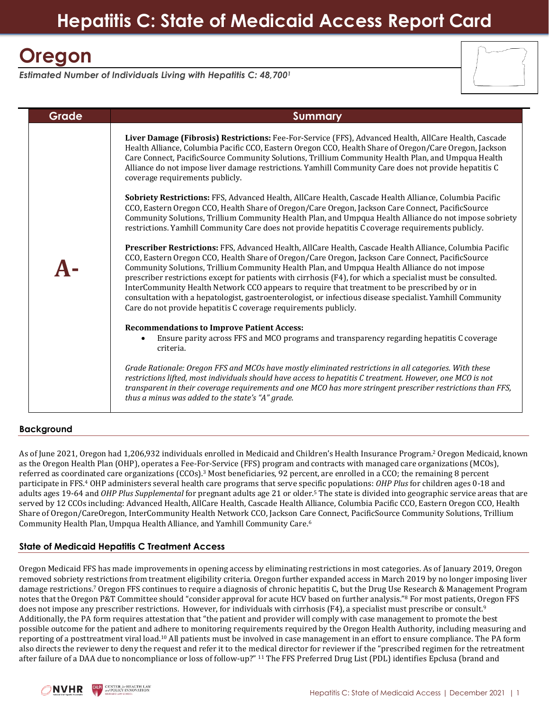# **Hepatitis C: State of Medicaid Access Report Card**

# **Oregon**

*Estimated Number of Individuals Living with Hepatitis C: 48,700<sup>1</sup>*

| Grade <sup>'</sup> | <b>Summary</b>                                                                                                                                                                                                                                                                                                                                                                                                                                                                                                                                                                                                                                                                                                                                                                                                                                                                                                                                                                                                                                                                                                                                                                                                                                                                                                                                                                                                                                                                                                                                                                                                                                                                                                                                                                                                                                                                                                                                                                                                                                                                                                                                                                  |
|--------------------|---------------------------------------------------------------------------------------------------------------------------------------------------------------------------------------------------------------------------------------------------------------------------------------------------------------------------------------------------------------------------------------------------------------------------------------------------------------------------------------------------------------------------------------------------------------------------------------------------------------------------------------------------------------------------------------------------------------------------------------------------------------------------------------------------------------------------------------------------------------------------------------------------------------------------------------------------------------------------------------------------------------------------------------------------------------------------------------------------------------------------------------------------------------------------------------------------------------------------------------------------------------------------------------------------------------------------------------------------------------------------------------------------------------------------------------------------------------------------------------------------------------------------------------------------------------------------------------------------------------------------------------------------------------------------------------------------------------------------------------------------------------------------------------------------------------------------------------------------------------------------------------------------------------------------------------------------------------------------------------------------------------------------------------------------------------------------------------------------------------------------------------------------------------------------------|
|                    | Liver Damage (Fibrosis) Restrictions: Fee-For-Service (FFS), Advanced Health, AllCare Health, Cascade<br>Health Alliance, Columbia Pacific CCO, Eastern Oregon CCO, Health Share of Oregon/Care Oregon, Jackson<br>Care Connect, PacificSource Community Solutions, Trillium Community Health Plan, and Umpqua Health<br>Alliance do not impose liver damage restrictions. Yamhill Community Care does not provide hepatitis C<br>coverage requirements publicly.<br><b>Sobriety Restrictions:</b> FFS, Advanced Health, AllCare Health, Cascade Health Alliance, Columbia Pacific<br>CCO, Eastern Oregon CCO, Health Share of Oregon/Care Oregon, Jackson Care Connect, PacificSource<br>Community Solutions, Trillium Community Health Plan, and Umpqua Health Alliance do not impose sobriety<br>restrictions. Yamhill Community Care does not provide hepatitis C coverage requirements publicly.<br>Prescriber Restrictions: FFS, Advanced Health, AllCare Health, Cascade Health Alliance, Columbia Pacific<br>CCO, Eastern Oregon CCO, Health Share of Oregon/Care Oregon, Jackson Care Connect, PacificSource<br>Community Solutions, Trillium Community Health Plan, and Umpqua Health Alliance do not impose<br>prescriber restrictions except for patients with cirrhosis (F4), for which a specialist must be consulted.<br>InterCommunity Health Network CCO appears to require that treatment to be prescribed by or in<br>consultation with a hepatologist, gastroenterologist, or infectious disease specialist. Yamhill Community<br>Care do not provide hepatitis C coverage requirements publicly.<br><b>Recommendations to Improve Patient Access:</b><br>Ensure parity across FFS and MCO programs and transparency regarding hepatitis C coverage<br>criteria.<br>Grade Rationale: Oregon FFS and MCOs have mostly eliminated restrictions in all categories. With these<br>restrictions lifted, most individuals should have access to hepatitis C treatment. However, one MCO is not<br>transparent in their coverage requirements and one MCO has more stringent prescriber restrictions than FFS,<br>thus a minus was added to the state's "A" grade. |

## **Background**

As of June 2021, Oregon had 1,206,932 individuals enrolled in Medicaid and Children's Health Insurance Program. <sup>2</sup> Oregon Medicaid, known as the Oregon Health Plan (OHP), operates a Fee-For-Service (FFS) program and contracts with managed care organizations (MCOs), referred as coordinated care organizations (CCOs).<sup>3</sup> Most beneficiaries, 92 percent, are enrolled in a CCO; the remaining 8 percent participate in FFS.<sup>4</sup> OHP administers several health care programs that serve specific populations: *OHP Plus* for children ages 0-18 and adults ages 19-64 and *OHP Plus Supplemental* for pregnant adults age 21 or older.<sup>5</sup> The state is divided into geographic service areas that are served by 12 CCOs including: Advanced Health, AllCare Health, Cascade Health Alliance, Columbia Pacific CCO, Eastern Oregon CCO, Health Share of Oregon/CareOregon, InterCommunity Health Network CCO, Jackson Care Connect, PacificSource Community Solutions, Trillium Community Health Plan, Umpqua Health Alliance, and Yamhill Community Care.<sup>6</sup>

## **State of Medicaid Hepatitis C Treatment Access**

Oregon Medicaid FFS has made improvements in opening access by eliminating restrictions in most categories. As of January 2019, Oregon removed sobriety restrictions from treatment eligibility criteria. Oregon further expanded access in March 2019 by no longer imposing liver damage restrictions. <sup>7</sup> Oregon FFS continues to require a diagnosis of chronic hepatitis C, but the Drug Use Research & Management Program notes that the Oregon P&T Committee should "consider approval for acute HCV based on further analysis."<sup>8</sup> For most patients, Oregon FFS does not impose any prescriber restrictions. However, for individuals with cirrhosis (F4), a specialist must prescribe or consult.<sup>9</sup> Additionally, the PA form requires attestation that "the patient and provider will comply with case management to promote the best possible outcome for the patient and adhere to monitoring requirements required by the Oregon Health Authority, including measuring and reporting of a posttreatment viral load.<sup>10</sup> All patients must be involved in case management in an effort to ensure compliance. The PA form also directs the reviewer to deny the request and refer it to the medical director for reviewer if the "prescribed regimen for the retreatment after failure of a DAA due to noncompliance or loss of follow-up?" <sup>11</sup> The FFS Preferred Drug List (PDL) identifies Epclusa (brand and

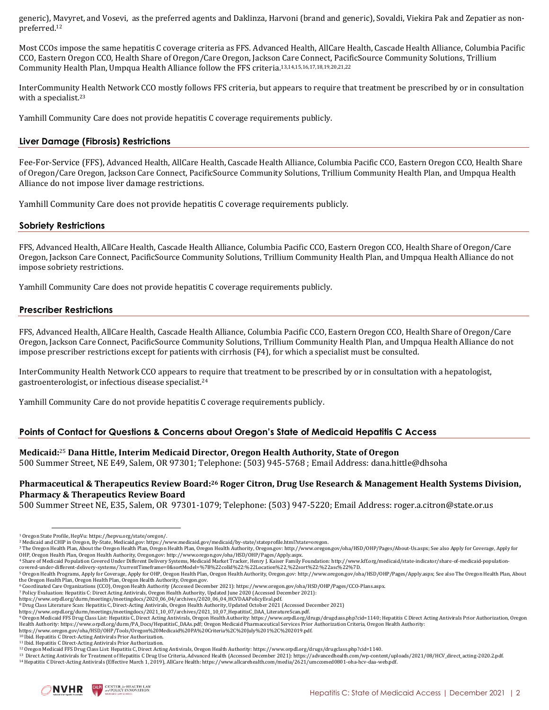generic), Mavyret, and Vosevi, as the preferred agents and Daklinza, Harvoni (brand and generic), Sovaldi, Viekira Pak and Zepatier as nonpreferred. 12

Most CCOs impose the same hepatitis C coverage criteria as FFS. Advanced Health, AllCare Health, Cascade Health Alliance, Columbia Pacific CCO, Eastern Oregon CCO, Health Share of Oregon/Care Oregon, Jackson Care Connect, PacificSource Community Solutions, Trillium Community Health Plan, Umpqua Health Alliance follow the FFS criteria. 13,14,15,16,17,18,19,20,21,22

InterCommunity Health Network CCO mostly follows FFS criteria, but appears to require that treatment be prescribed by or in consultation with a specialist.<sup>23</sup>

Yamhill Community Care does not provide hepatitis C coverage requirements publicly.

#### **Liver Damage (Fibrosis) Restrictions**

Fee-For-Service (FFS), Advanced Health, AllCare Health, Cascade Health Alliance, Columbia Pacific CCO, Eastern Oregon CCO, Health Share of Oregon/Care Oregon, Jackson Care Connect, PacificSource Community Solutions, Trillium Community Health Plan, and Umpqua Health Alliance do not impose liver damage restrictions.

Yamhill Community Care does not provide hepatitis C coverage requirements publicly.

#### **Sobriety Restrictions**

FFS, Advanced Health, AllCare Health, Cascade Health Alliance, Columbia Pacific CCO, Eastern Oregon CCO, Health Share of Oregon/Care Oregon, Jackson Care Connect, PacificSource Community Solutions, Trillium Community Health Plan, and Umpqua Health Alliance do not impose sobriety restrictions.

Yamhill Community Care does not provide hepatitis C coverage requirements publicly.

#### **Prescriber Restrictions**

FFS, Advanced Health, AllCare Health, Cascade Health Alliance, Columbia Pacific CCO, Eastern Oregon CCO, Health Share of Oregon/Care Oregon, Jackson Care Connect, PacificSource Community Solutions, Trillium Community Health Plan, and Umpqua Health Alliance do not impose prescriber restrictions except for patients with cirrhosis (F4), for which a specialist must be consulted.

InterCommunity Health Network CCO appears to require that treatment to be prescribed by or in consultation with a hepatologist, gastroenterologist, or infectious disease specialist.<sup>24</sup>

Yamhill Community Care do not provide hepatitis C coverage requirements publicly.

#### **Points of Contact for Questions & Concerns about Oregon's State of Medicaid Hepatitis C Access**

#### **Medicaid:** <sup>25</sup> **Dana Hittle, Interim Medicaid Director, Oregon Health Authority, State of Oregon**

500 Summer Street, NE E49, Salem, OR 97301; Telephone: (503) 945‐5768 ; Email Address: dana.hittle@dhsoha

#### **Pharmaceutical & Therapeutics Review Board: <sup>26</sup> Roger Citron, Drug Use Research & Management Health Systems Division, Pharmacy & Therapeutics Review Board**

500 Summer Street NE, E35, Salem, OR 97301-1079; Telephone: (503) 947-5220; Email Address: roger.a.citron@state.or.us

[covered-under-different-delivery-systems/?currentTimeframe=0&sortModel=%7B%22colId%22:%22Location%22,%22sort%22:%22asc%22%7D.](http://www.kff.org/medicaid/state-indicator/share-of-medicaid-population-covered-under-different-delivery-systems/?currentTimeframe=0&sortModel=%7B%22colId%22:%22Location%22,%22sort%22:%22asc%22%7D)

<sup>6</sup> Coordinated Care Organizations (CCO), Oregon Health Authority (Accessed December 2021): https://www.oregon.gov/oha/HSD/OHP/Pages/CCO-Plans.aspx.

<sup>7</sup> Policy Evaluation: Hepatitis C: Direct Acting Antivirals, Oregon Health Authority, Updated June 2020 (Accessed December 2021): https://www.orpdl.org/durm/meetings/meetingdocs/2020\_06\_04/archives/2020\_06\_04\_HCVDAAPolicyEval.pdf.

https://www.orpdl.org/durm/meetings/meetingdocs/2021\_10\_07/archives/2021\_10\_07\_HepatitisC\_DAA\_LiteratureScan.pdf.

https://www.oregon.gov/oha/HSD/OHP/Tools/Oregon%20Medicaid%20PA%20Criteria%2C%20July%201%2C%202019.pdf.<br><sup>10</sup> Ibid. Hepatitis C Direct-Acting Antivirals Prior Authorization.

<sup>11</sup> Ibid. Hepatitis C Direct-Acting Antivirals Prior Authorization.

<sup>14</sup> Hepatitis C Direct-Acting Antivirals (Effective March 1, 2019), AllCare Health: https://www.allcarehealth.com/media/2621/umccomed0801-oha-hcv-daa-web.pdf.



<sup>1</sup> Oregon State Profile, HepVu[: https://hepvu.org/state/oregon/.](https://hepvu.org/state/oregon/)

<sup>2</sup> Medicaid and CHIP in Oregon, By-State, Medicaid.gov[: https://www.medicaid.gov/medicaid/by-state/stateprofile.html?state=oregon.](https://www.medicaid.gov/medicaid/by-state/stateprofile.html?state=oregon)

<sup>&</sup>lt;sup>3</sup> The Oregon Health Plan, About the Oregon Health Plan, Oregon Health Plan, Oregon Health Authority, Oregon.gov[: http://www.oregon.gov/oha/HSD/OHP/Pages/About-Us.aspx;](http://www.oregon.gov/oha/HSD/OHP/Pages/About-Us.aspx) See also Apply for Coverage, Apply for OHP, Oregon Health Plan, Oregon Health Authority, Oregon.gov[: http://www.oregon.gov/oha/HSD/OHP/Pages/Apply.aspx.](http://www.oregon.gov/oha/HSD/OHP/Pages/Apply.aspx)<br><sup>4</sup> Share of Medicaid Population Covered Under Different Delivery Systems, Medicaid Market Tracker, Henry J.

<sup>5</sup> Oregon Health Programs, Apply for Coverage, Apply for OHP, Oregon Health Plan, Oregon Health Authority, Oregon.gov[: http://www.oregon.gov/oha/HSD/OHP/Pages/Apply.aspx;](http://www.oregon.gov/oha/HSD/OHP/Pages/Apply.aspx) See also The Oregon Health Plan, About the Oregon Health Plan, Oregon Health Plan, Oregon Health Authority, Oregon.gov.

<sup>8</sup> Drug Class Literature Scan: Hepatitis C, Direct-Acting Antivirals, Oregon Health Authority, Updated October 2021 (Accessed December 2021)

<sup>9</sup> Oregon Medicaid FFS Drug Class List: Hepatitis C, Direct Acting Antivirals, Oregon Health Authority: https://www.orpdl.org/drugs/drugclass.php?cid=1140; Hepatitis C Direct Acting Antivirals Prior Authorization, Oregon Health Authority: https://www.orpdl.org/durm/PA\_Docs/HepatitisC\_DAAs.pdf; Oregon Medicaid Pharmaceutical Services Prior Authorization Criteria, Oregon Health Authority:

<sup>&</sup>lt;sup>12</sup> Oregon Medicaid FFS Drug Class List: Hepatitis C, Direct Acting Antivirals, Oregon Health Authority: https://www.orpdl.org/drugs/drugs/abs.php?cid=1140.<br><sup>13</sup> Direct Acting Antivirals for Treatment of Hepatitis C Drug